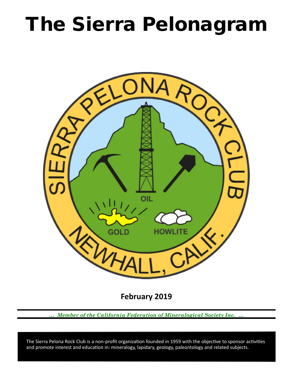# The Sierra Pelonagram



**February 2019**

*… Member of the California Federation of Mineralogical Society Inc. …*

 and promote interest and education in: mineralogy, lapidary, geology, paleontology and related subjects. The Sierra Pelona Rock Club is a non-profit organization founded in 1959 with the objective to sponsor activities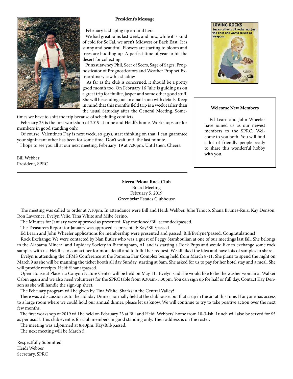### **President's Message**



February is shaping up around here.

 We had great rains last week, and now, while it is kind of cold for SoCal, we aren't Midwest or Back East! It is sunny and beautiful. Flowers are starting to bloom and trees are budding up. A perfect time of year to hit the desert for collecting.

 Punxsutawney Phil, Seer of Seers, Sage of Sages, Prognosticator of Prognosticators and Weather Prophet Extraordinary saw his shadow.

 As far as the club is concerned, it should be a pretty good month too. On February 16 Julie is guiding us on a great trip for thulite, jasper and some other good stuff. She will be sending out an email soon with details. Keep in mind that this month's field trip is a week earlier than the usual Saturday after the General Meeting. Some-

times we have to shift the trip because of scheduling conflicts.

 February 23 is the first workshop of 2019 at mine and Heidi's home. Workshops are for members in good standing only.

 Of course, Valentine's Day is next week, so guys, start thinking on that, I can guarantee your significant other has been for some time! Don't wait until the last minute.

I hope to see you all at our next meeting, February 19 at 7:30pm. Until then, Cheers.

Bill Webber President, SPRC

> **Sierra Pelona Rock Club** Board Meeting February 5, 2019 Greenbriar Estates Clubhouse

 The meeting was called to order at 7:10pm. In attendance were Bill and Heidi Webber, Julie Tinoco, Shana Brunes-Ruiz, Kay Denson, Ron Lawrence, Evelyn Velie, Tina White and Mike Serino.

The Minutes for January were approved as presented: Kay motioned/Bill seconded/passed.

The Treasurers Report for January was approved as presented: Kay/Bill/passed.

Ed Learn and John Wheeler applications for membership were presented and passed. Bill/Evelyne/passed. Congratulations!

 Rock Exchange: We were contacted by Nan Butler who was a guest of Peggy Stamboulian at one of our meetings last fall. She belongs to the Alabama Mineral and Lapidary Society in Birmingham, AL and is starting a Rock Pups and would like to exchange some rock samples with us. Heidi is to contact her for more detail and to fulfill her request. We all liked the idea and have lots of samples to share.

 Evelyn is attending the CFMS Conference at the Pomona Fair Complex being held from March 8-11. She plans to spend the night on March 9 as she will be manning the ticket booth all day Sunday, starting at 8am. She asked for us to pay for her hotel stay and a meal. She will provide receipts. Heidi/Shana/passed.

 Open House at Placerita Canyon Nature Center will be held on May 11. Evelyn said she would like to be the washer woman at Walker Cabin again and we also need volunteers for the SPRC table from 9:30am-3:30pm. You can sign up for half or full day. Contact Kay Denson as she will handle the sign-up sheet.

The February program will be given by Tina White: Sharks in the Central Valley?

 There was a discussion as to the Holiday Dinner normally held at the clubhouse, but that is up in the air at this time. If anyone has access to a large room where we could hold our annual dinner, please let us know. We will continue to try to take positive action over the next few months.

 The first workshop of 2019 will be held on February 23 at Bill and Heidi Webbers' home from 10-3-ish. Lunch will also be served for \$5 as per usual. This club event is for club members in good standing only. Their address is on the roster.

The meeting was adjourned at 8:40pm. Kay/Bill/passed.

The next meeting will be March 5.

Respectfully Submitted Heidi Webber Secretary, SPRC



## **Welcome New Members**

 Ed Learn and John Wheeler have joined us as our newest members to the SPRC. Welcome to you both. You will find a lot of friendly people ready to share this wonderful hobby with you.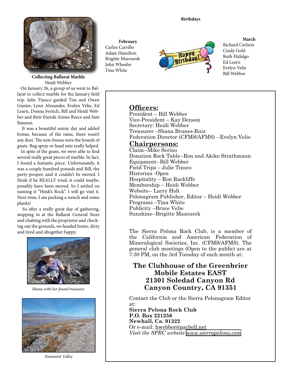

Heidi Webber

 On January 26, a group of us went to Ballarat to collect marble for the January field trip. Julie Tinoco guided Tim and Owen Gunter, Lynn Alexander, Evelyn Velie, Ed Learn, Donna Svetich, Bill and Heidi Webber and their friends Aimee Reece and Sam Bannon.

 It was a beautiful sunny day and added bonus, because of the rains, there wasn't any dust. The non-bonus were the hoards of gnats. Bug spray or head nets really helped.

 In spite of the gnats, we were able to find several really great pieces of marble. In fact, I found a fantastic piece. Unfortunately, it was a couple hundred pounds and Bill, the party-pooper, said it couldn't be moved. I think if he REALLY tried, it could maybe, possibly have been moved. So I settled on naming it "Heidi's Rock". I will go visit it. Next time, I am packing a wench and some planks!

 So after a really great day of gathering, stopping in at the Ballarat General Store and chatting with the proprietor and checking out the grounds, we headed home, dirty and tired and altogether happy.



*Shana with her found treasures.*



*Panamint Valley*

## **February** Carlos Carrillo Adam Hamilton Brigitte Mazourek John Wheeler Tina White



## **March** Richard Carlson

Cindy Gold Ruth Hidalgo Ed Learn Evelyn Velie

## **Officers:**

President – Bill Webber Vice‑President – Kay Denson Secretary: Heidi Webber Treasurer –Shana Brunes-Ruiz Federation Director (CFMS/AFMS) --Evelyn Velie

## **Chairpersons:**

Claim--Mike Serino Donation Rock Table--Ron and Akiko Strathmann Equipment--Bill Webber Field Trips – Julie Tinoco Historian ‑Open Hospitality – Ron Rackliffe Membership – Heidi Webber Website-- Larry Holt Pelonagram Publisher, Editor – Heidi Webber Programs –Tina White Publicity –Bruce Velie Sunshine--Brigitte Mazourek

The Sierra Pelona Rock Club, is a member of the California and American Federation of Mineralogical Societies, Inc. (CFMS/AFMS). The general club meetings (Open to the public) are at 7:30 PM, on the 3rd Tuesday of each month at:

# **The Clubhouse of the Greenbrier Mobile Estates EAST 21301 Soledad Canyon Rd Canyon Country, CA 91351**

Contact the Club or the Sierra Pelonagram Editor at:

**Sierra Pelona Rock Club P.O. Box 221256 Newhall, Ca. 91322** Or e‑mail: hwebber@pacbell.net *Visit the SPRC website [www.sierrapelona.com](http://www.sierrapelona.com/)*

## **Birthdays**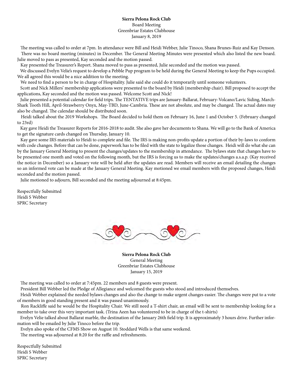## **Sierra Pelona Rock Club** Board Meeting Greenbriar Estates Clubhouse January 8, 2019

 The meeting was called to order at 7pm. In attendance were Bill and Heidi Webber, Julie Tinoco, Shana Brunes-Ruiz and Kay Denson. There was no board meeting (minutes) in December. The General Meeting Minutes were presented which also listed the new board. Julie moved to pass as presented, Kay seconded and the motion passed.

Kay presented the Treasurer's Report. Shana moved to pass as presented, Julie seconded and the motion was passed.

 We discussed Evelyn Velie's request to develop a Pebble Pup program to be held during the General Meeting to keep the Pups occupied. We all agreed this would be a nice addition to the meeting.

We need to find a person to be in charge of Hospitality. Julie said she could do it temporarily until someone volunteers.

 Scott and Nick Millers' membership applications were presented to the board by Heidi (membership chair). Bill proposed to accept the applications, Kay seconded and the motion was passed. Welcome Scott and Nick!

 Julie presented a potential calendar for field trips. The TENTATIVE trips are January-Ballarat, February-Volcano/Lavic Siding, March-Shark Tooth Hill, April-Strawberry Onyx, May-TBD, June-Cambria. These are not absolute, and may be changed. The actual dates may also be changed. The calendar should be distributed soon.

 Heidi talked about the 2019 Workshops. The Board decided to hold them on February 16, June 1 and October 5. (February changed to 23rd)

 Kay gave Heidi the Treasurer Reports for 2016-2018 to audit. She also gave her documents to Shana. We will go to the Bank of America to get the signature cards changed on Thursday, January 10.

 Kay gave some IRS materials to Heidi to complete and file. The IRS is making non-profits update a portion of their by-laws to conform with code changes. Before that can be done, paperwork has to be filed with the state to legalize those changes. Heidi will do what she can by the January General Meeting to present the changes/updates to the membership in attendance. The bylaws state that changes have to be presented one month and voted on the following month, but the IRS is forcing us to make the updates/changes a.s.a.p. (Kay received the notice in December) so a January vote will be held after the updates are read. Members will receive an email detailing the changes so an informed vote can be made at the January General Meeting. Kay motioned we email members with the proposed changes, Heidi seconded and the motion passed.

Julie motioned to adjourn, Bill seconded and the meeting adjourned at 8:45pm.

Respectfully Submitted Heidi S Webber SPRC Secretary



**Sierra Pelona Rock Club** General Meeting Greenbriar Estates Clubhouse January 15, 2019

The meeting was called to order at 7:45pm. 22 members and 8 guests were present.

President Bill Webber led the Pledge of Allegiance and welcomed the guests who stood and introduced themselves.

 Heidi Webber explained the needed bylaws changes and also the change to make urgent changes easier. The changes were put to a vote of members in good standing present and it was passed unanimously.

 Ron Rackliffe said he would be the Hospitality Chair. We still need a T-shirt chair, an email will be sent to membership looking for a member to take over this very important task. (Trina Aeen has volunteered to be in charge of the t-shirts)

 Evelyn Velie talked about Ballarat marble, the destination of the January 26th field trip. It is approximately 3 hours drive. Further information will be emailed by Julie Tinoco before the trip.

Evelyn also spoke of the CFMS Show on August 10. Stoddard Wells is that same weekend.

The meeting was adjourned at 8:20 for the raffle and refreshments.

Respectfully Submitted Heidi S Webber SPRC Secretary